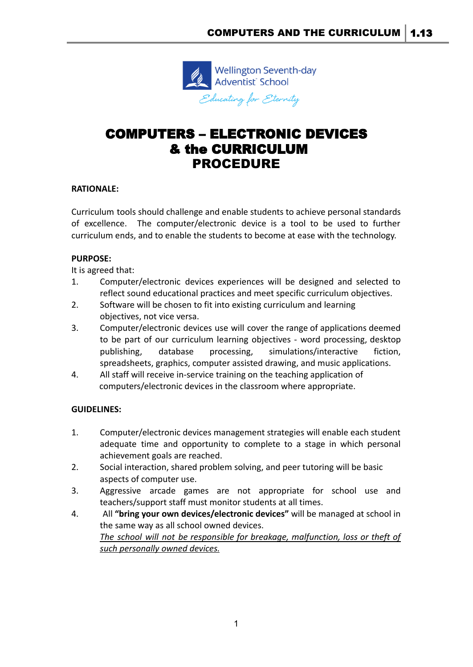

# COMPUTERS – ELECTRONIC DEVICES & the CURRICULUM PROCEDURE

## **RATIONALE:**

Curriculum tools should challenge and enable students to achieve personal standards of excellence. The computer/electronic device is a tool to be used to further curriculum ends, and to enable the students to become at ease with the technology.

### **PURPOSE:**

It is agreed that:

- 1. Computer/electronic devices experiences will be designed and selected to reflect sound educational practices and meet specific curriculum objectives.
- 2. Software will be chosen to fit into existing curriculum and learning objectives, not vice versa.
- 3. Computer/electronic devices use will cover the range of applications deemed to be part of our curriculum learning objectives - word processing, desktop publishing, database processing, simulations/interactive fiction, spreadsheets, graphics, computer assisted drawing, and music applications.
- 4. All staff will receive in-service training on the teaching application of computers/electronic devices in the classroom where appropriate.

## **GUIDELINES:**

- 1. Computer/electronic devices management strategies will enable each student adequate time and opportunity to complete to a stage in which personal achievement goals are reached.
- 2. Social interaction, shared problem solving, and peer tutoring will be basic aspects of computer use.
- 3. Aggressive arcade games are not appropriate for school use and teachers/support staff must monitor students at all times.
- 4. All **"bring your own devices/electronic devices"** will be managed at school in the same way as all school owned devices. *The school will not be responsible for breakage, malfunction, loss or theft of such personally owned devices.*